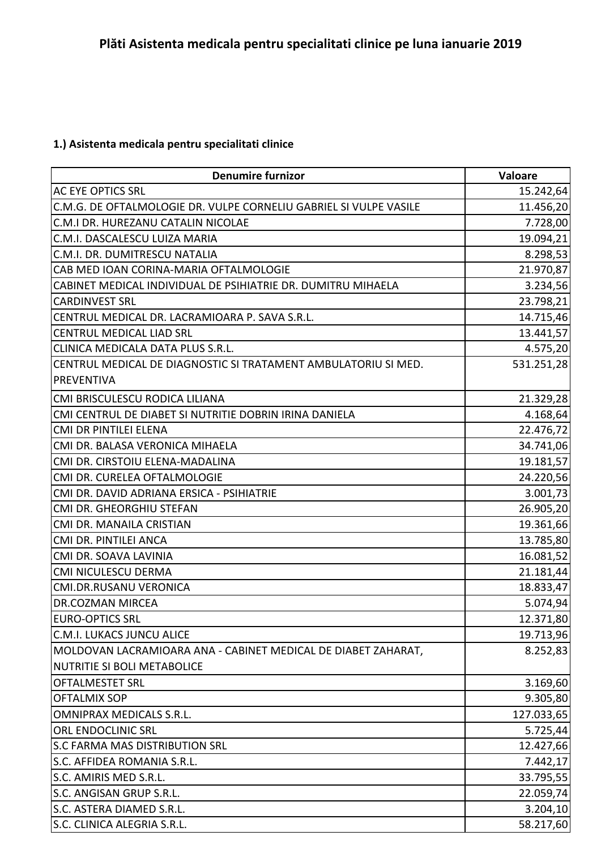## **1.) Asistenta medicala pentru specialitati clinice**

| <b>Denumire furnizor</b>                                          | Valoare    |
|-------------------------------------------------------------------|------------|
| <b>AC EYE OPTICS SRL</b>                                          | 15.242,64  |
| C.M.G. DE OFTALMOLOGIE DR. VULPE CORNELIU GABRIEL SI VULPE VASILE | 11.456,20  |
| C.M.I DR. HUREZANU CATALIN NICOLAE                                | 7.728,00   |
| C.M.I. DASCALESCU LUIZA MARIA                                     | 19.094,21  |
| C.M.I. DR. DUMITRESCU NATALIA                                     | 8.298,53   |
| CAB MED IOAN CORINA-MARIA OFTALMOLOGIE                            | 21.970,87  |
| CABINET MEDICAL INDIVIDUAL DE PSIHIATRIE DR. DUMITRU MIHAELA      | 3.234,56   |
| <b>CARDINVEST SRL</b>                                             | 23.798,21  |
| CENTRUL MEDICAL DR. LACRAMIOARA P. SAVA S.R.L.                    | 14.715,46  |
| <b>CENTRUL MEDICAL LIAD SRL</b>                                   | 13.441,57  |
| CLINICA MEDICALA DATA PLUS S.R.L.                                 | 4.575,20   |
| CENTRUL MEDICAL DE DIAGNOSTIC SI TRATAMENT AMBULATORIU SI MED.    | 531.251,28 |
| <b>PREVENTIVA</b>                                                 |            |
| CMI BRISCULESCU RODICA LILIANA                                    | 21.329,28  |
| CMI CENTRUL DE DIABET SI NUTRITIE DOBRIN IRINA DANIELA            | 4.168,64   |
| <b>CMI DR PINTILEI ELENA</b>                                      | 22.476,72  |
| CMI DR. BALASA VERONICA MIHAELA                                   | 34.741,06  |
| CMI DR. CIRSTOIU ELENA-MADALINA                                   | 19.181,57  |
| CMI DR. CURELEA OFTALMOLOGIE                                      | 24.220,56  |
| CMI DR. DAVID ADRIANA ERSICA - PSIHIATRIE                         | 3.001,73   |
| CMI DR. GHEORGHIU STEFAN                                          | 26.905,20  |
| CMI DR. MANAILA CRISTIAN                                          | 19.361,66  |
| CMI DR. PINTILEI ANCA                                             | 13.785,80  |
| CMI DR. SOAVA LAVINIA                                             | 16.081,52  |
| CMI NICULESCU DERMA                                               | 21.181,44  |
| <b>CMI.DR.RUSANU VERONICA</b>                                     | 18.833,47  |
| <b>DR.COZMAN MIRCEA</b>                                           | 5.074,94   |
| <b>EURO-OPTICS SRL</b>                                            | 12.371,80  |
| <b>C.M.I. LUKACS JUNCU ALICE</b>                                  | 19.713,96  |
| MOLDOVAN LACRAMIOARA ANA - CABINET MEDICAL DE DIABET ZAHARAT,     | 8.252,83   |
| NUTRITIE SI BOLI METABOLICE                                       |            |
| <b>OFTALMESTET SRL</b>                                            | 3.169,60   |
| <b>OFTALMIX SOP</b>                                               | 9.305,80   |
| <b>OMNIPRAX MEDICALS S.R.L.</b>                                   | 127.033,65 |
| ORL ENDOCLINIC SRL                                                | 5.725,44   |
| <b>S.C FARMA MAS DISTRIBUTION SRL</b>                             | 12.427,66  |
| S.C. AFFIDEA ROMANIA S.R.L.                                       | 7.442,17   |
| S.C. AMIRIS MED S.R.L.                                            | 33.795,55  |
| S.C. ANGISAN GRUP S.R.L.                                          | 22.059,74  |
| S.C. ASTERA DIAMED S.R.L.                                         | 3.204,10   |
| S.C. CLINICA ALEGRIA S.R.L.                                       | 58.217,60  |